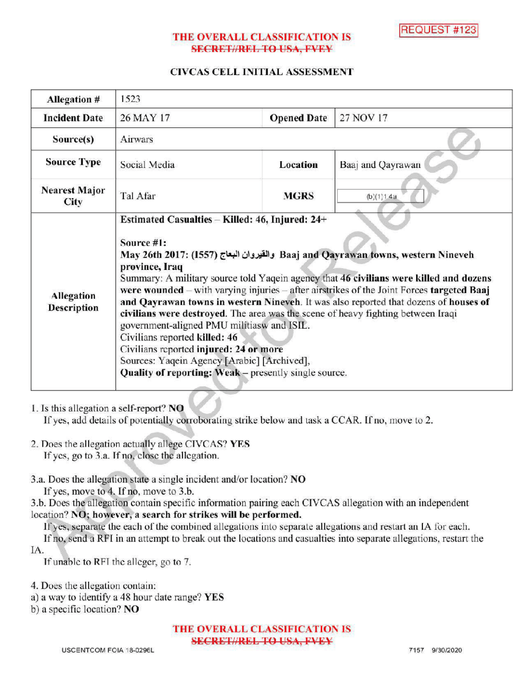# THE OVERALL CLASSIFICATION IS **SECRET//REL TO USA, FVEY**

# CIVCAS CELL INITIAL ASSESSMENT

| Allegation #                        | 1523                                                                                                                                                                                                                                                                                                                                                                                                                                                                                                                                                                                                                                                                                                                                                                   |                    |                   |
|-------------------------------------|------------------------------------------------------------------------------------------------------------------------------------------------------------------------------------------------------------------------------------------------------------------------------------------------------------------------------------------------------------------------------------------------------------------------------------------------------------------------------------------------------------------------------------------------------------------------------------------------------------------------------------------------------------------------------------------------------------------------------------------------------------------------|--------------------|-------------------|
| <b>Incident Date</b>                | 26 MAY 17                                                                                                                                                                                                                                                                                                                                                                                                                                                                                                                                                                                                                                                                                                                                                              | <b>Opened Date</b> | 27 NOV 17         |
| Source(s)                           | Airwars                                                                                                                                                                                                                                                                                                                                                                                                                                                                                                                                                                                                                                                                                                                                                                |                    |                   |
| <b>Source Type</b>                  | Social Media                                                                                                                                                                                                                                                                                                                                                                                                                                                                                                                                                                                                                                                                                                                                                           | Location           | Baaj and Qayrawan |
| <b>Nearest Major</b><br><b>City</b> | Tal Afar                                                                                                                                                                                                                                                                                                                                                                                                                                                                                                                                                                                                                                                                                                                                                               | <b>MGRS</b>        | (b)(1)1.4a        |
| Allegation<br><b>Description</b>    | Estimated Casualties - Killed: 46, Injured: 24+<br>Source #1:<br>May 26th 2017: (1557) والقيروان البعاج Baaj and Qayrawan towns, western Nineveh<br>province, Iraq<br>Summary: A military source told Yaqein agency that 46 civilians were killed and dozens<br>were wounded - with varying injuries - after airstrikes of the Joint Forces targeted Baaj<br>and Qayrawan towns in western Nineveh. It was also reported that dozens of houses of<br>civilians were destroyed. The area was the scene of heavy fighting between Iraqi<br>government-aligned PMU militiasw and ISIL.<br>Civilians reported killed: 46<br>Civilians reported injured: 24 or more<br>Sources: Yaqein Agency [Arabic] [Archived],<br>Quality of reporting: Weak - presently single source. |                    |                   |

### 1. Isthis allegation a self-report? NO

If yes, add details of potentially corroborating strike below and task a CCAR. If no, move to 2.

- 2. Does the allegation actually allege CIVCAS? YES If yes, go to 3.a. If no, close the allegation.
- 3.a. Does the allegation state a single incident and/or location? NO

If yes, move to 4. If no, move to 3.b.

3.b. Does the allegation contain specific information pairing each CIVCAS allegation with an independent location? NO; however, a search for strikes will be performed.

If yes, separate the each of the combined allegations into separate allegations and restart an IA for each.

If no, send a RFI in an attempt to break out the locations and casualties into separate allegations, restart the IA

If unable to RFI the alleger, go to 7.

4. Does the allegation contain:

a) <sup>a</sup> way to identify a 48 hour date range? YES

b) a specific location? NO

THE OVERALL CLASSIFICATION IS **SECRET//REL TO USA, FVEY**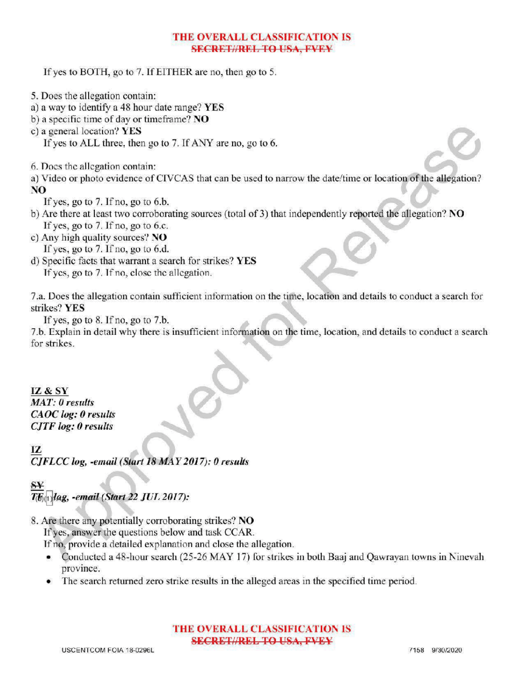# THE OVERALL CLASSIFICATION IS **SECRET//REL TO USA, FVEY**

If yes to BOTH, go to 7. If EITHER are no, then go to 5.

- 5. Does the allegation contain:
- a) <sup>a</sup> way to identify a 48 hour date range? YES
- b) a specific time of day or timeframe? NO
- c ) <sup>a</sup> general location? YES

If yes to ALL three, then go to 7. If ANY are no, go to 6.

6. Does the allegation contain :

a) Video or photo evidence of CIVCAS that can be used to narrow the date/time or location of the allegation? NO

If yes, go to  $7.$  If no, go to  $6.b$ .

- b) Are there at least two corroborating sources (total of 3) that independently reported the allegation? NO If yes, go to  $7.$  If no, go to 6.c.
- c) Any high quality sources?  $NO$ If yes, go to  $7.$  If no, go to  $6.d.$
- d) Specific facts that warrant a search for strikes? YES If yes, go to 7. If no, close the allegation.

7.a. Does the allegation contain sufficient information on the time, location and details to conduct a search for strikes? YES

If yes, go to  $8$ . If no, go to  $7.b$ .

7.b. Explain indetail why there is insufficient information on the time, location, and details to conduct <sup>a</sup> search for strikes

# IZ & SY

 $MAT: 0$  results CAOC log: 0 results  $CJTF log: 0$  results

IZ CJFLCC log, -email (Start 18 MAY 2017): 0 results

# SY  $T_{\text{tot}}$   $\text{Hag}$ , -email (Start 22 JUL 2017):

8. Are there any potentially corroborating strikes? NO

If yes, answer the questions below and task CCAR.

Ifno, provide <sup>a</sup> detailed explanation and close the allegation.

- Conducted a 48-hour search (25-26 MAY 17) for strikes in both Baaj and Qawrayan towns in Ninevah province.
- The search returned zero strike results in the alleged areas in the specified time period.

### THE OVERALL CLASSIFICATION IS **SECRET//REL TO USA, FVEY**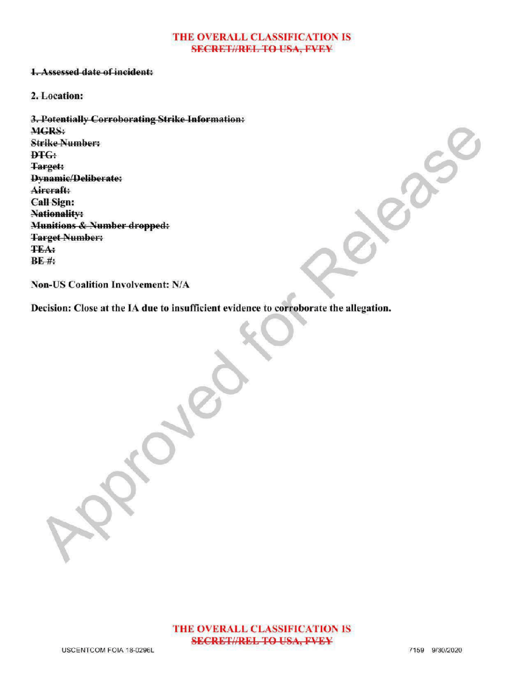#### THE OVERALL CLASSIFICATION IS **SECRET//REL TO USA, FVEY**

# 1. Assessed date of incident:

### 2.Location:

3. Potentially Corroborating Strike Information: MGRS: Strike Number: DTG: Target: Dynamic/Deliberate: Aircraft: **Call Sign:** Nationality: Munitions & Number dropped: Target Number **TEA**:  $BE$ #:

Non-US Coalition Involvement: N/A

Decision: Close at the IA due to insufficient evidence to corroborate the allegation.

Approved